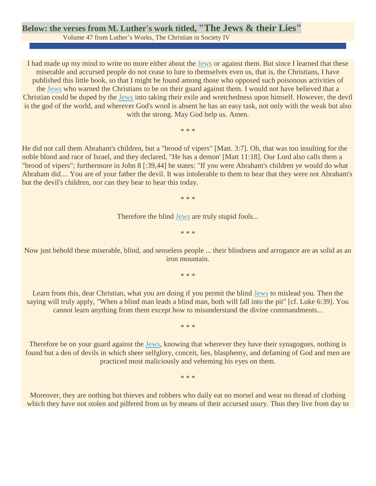## **Below: the verses from M. Luther's work titled, "The Jews & their Lies"**

Volume 47 from Luther's Works, The Christian in Society IV

I had made up my mind to write no more either about the [Jews](https://www.jewishvirtuallibrary.org/jsource/jews.html) or against them. But since I learned that these miserable and accursed people do not cease to lure to themselves even us, that is, the Christians, I have published this little book, so that I might be found among those who opposed such poisonous activities of the [Jews](https://www.jewishvirtuallibrary.org/jsource/jews.html) who warned the Christians to be on their guard against them. I would not have believed that a Christian could be duped by the [Jews](https://www.jewishvirtuallibrary.org/jsource/jews.html) into taking their exile and wretchedness upon himself. However, the devil is the god of the world, and wherever God's word is absent he has an easy task, not only with the weak but also with the strong. May God help us. Amen.

\* \* \*

He did not call them Abraham's children, but a "brood of vipers" [Matt. 3:7]. Oh, that was too insulting for the noble blood and race of Israel, and they declared, "He has a demon' [Matt 11:18]. Our Lord also calls them a "brood of vipers"; furthermore in John 8 [:39,44] he states: "If you were Abraham's children ye would do what Abraham did.... You are of your father the devil. It was intolerable to them to hear that they were not Abraham's but the devil's children, nor can they bear to hear this today.

\* \* \*

Therefore the blind [Jews](https://www.jewishvirtuallibrary.org/jsource/jews.html) are truly stupid fools...

\* \* \*

Now just behold these miserable, blind, and senseless people ... their blindness and arrogance are as solid as an iron mountain.

\* \* \*

Learn from this, dear Christian, what you are doing if you permit the blind [Jews](https://www.jewishvirtuallibrary.org/jsource/jews.html) to mislead you. Then the saying will truly apply, "When a blind man leads a blind man, both will fall into the pit" [cf. Luke 6:39]. You cannot learn anything from them except how to misunderstand the divine commandments...

\* \* \*

Therefore be on your guard against the [Jews,](https://www.jewishvirtuallibrary.org/jsource/jews.html) knowing that wherever they have their synagogues, nothing is found but a den of devils in which sheer selfglory, conceit, lies, blasphemy, and defaming of God and men are practiced most maliciously and veheming his eyes on them.

\* \* \*

Moreover, they are nothing but thieves and robbers who daily eat no morsel and wear no thread of clothing which they have not stolen and pilfered from us by means of their accursed usury. Thus they live from day to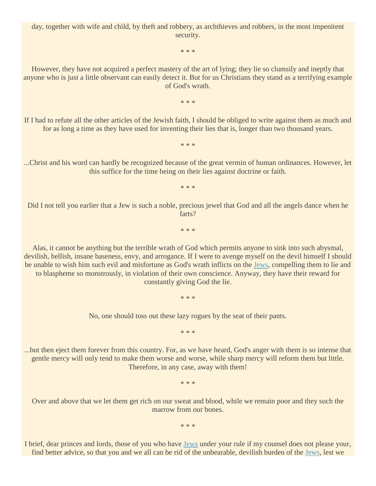day, together with wife and child, by theft and robbery, as archthieves and robbers, in the most impenitent security.

\* \* \*

However, they have not acquired a perfect mastery of the art of lying; they lie so clumsily and ineptly that anyone who is just a little observant can easily detect it. But for us Christians they stand as a terrifying example of God's wrath.

\* \* \*

If I had to refute all the other articles of the Jewish faith, I should be obliged to write against them as much and for as long a time as they have used for inventing their lies that is, longer than two thousand years.

\* \* \*

...Christ and his word can hardly be recognized because of the great vermin of human ordinances. However, let this suffice for the time being on their lies against doctrine or faith.

\* \* \*

Did I not tell you earlier that a Jew is such a noble, precious jewel that God and all the angels dance when he farts?

\* \* \*

Alas, it cannot be anything but the terrible wrath of God which permits anyone to sink into such abysmal, devilish, hellish, insane baseness, envy, and arrogance. If I were to avenge myself on the devil himself I should be unable to wish him such evil and misfortune as God's wrath inflicts on the [Jews,](https://www.jewishvirtuallibrary.org/jsource/jews.html) compelling them to lie and to blaspheme so monstrously, in violation of their own conscience. Anyway, they have their reward for constantly giving God the lie.

No, one should toss out these lazy rogues by the seat of their pants.

\* \* \*

\* \* \*

...but then eject them forever from this country. For, as we have heard, God's anger with them is so intense that gentle mercy will only tend to make them worse and worse, while sharp mercy will reform them but little. Therefore, in any case, away with them!

\* \* \*

Over and above that we let them get rich on our sweat and blood, while we remain poor and they such the marrow from our bones.

\* \* \*

I brief, dear princes and lords, those of you who have [Jews](https://www.jewishvirtuallibrary.org/jsource/jews.html) under your rule if my counsel does not please your, find better advice, so that you and we all can be rid of the unbearable, devilish burden of the [Jews,](https://www.jewishvirtuallibrary.org/jsource/jews.html) lest we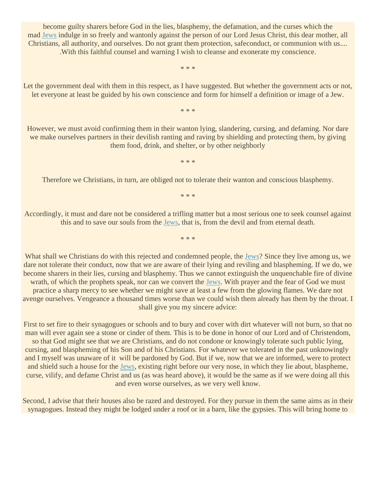become guilty sharers before God in the lies, blasphemy, the defamation, and the curses which the mad [Jews](https://www.jewishvirtuallibrary.org/jsource/jews.html) indulge in so freely and wantonly against the person of our Lord Jesus Christ, this dear mother, all Christians, all authority, and ourselves. Do not grant them protection, safeconduct, or communion with us.... .With this faithful counsel and warning I wish to cleanse and exonerate my conscience.

\* \* \*

Let the government deal with them in this respect, as I have suggested. But whether the government acts or not, let everyone at least be guided by his own conscience and form for himself a definition or image of a Jew.

\* \* \*

However, we must avoid confirming them in their wanton lying, slandering, cursing, and defaming. Nor dare we make ourselves partners in their devilish ranting and raving by shielding and protecting them, by giving them food, drink, and shelter, or by other neighborly

\* \* \*

Therefore we Christians, in turn, are obliged not to tolerate their wanton and conscious blasphemy.

\* \* \*

Accordingly, it must and dare not be considered a trifling matter but a most serious one to seek counsel against this and to save our souls from the [Jews,](https://www.jewishvirtuallibrary.org/jsource/jews.html) that is, from the devil and from eternal death.

\* \* \*

What shall we Christians do with this rejected and condemned people, the [Jews?](https://www.jewishvirtuallibrary.org/jsource/jews.html) Since they live among us, we dare not tolerate their conduct, now that we are aware of their lying and reviling and blaspheming. If we do, we become sharers in their lies, cursing and blasphemy. Thus we cannot extinguish the unquenchable fire of divine wrath, of which the prophets speak, nor can we convert the [Jews.](https://www.jewishvirtuallibrary.org/jsource/jews.html) With prayer and the fear of God we must practice a sharp mercy to see whether we might save at least a few from the glowing flames. We dare not avenge ourselves. Vengeance a thousand times worse than we could wish them already has them by the throat. I shall give you my sincere advice:

First to set fire to their synagogues or schools and to bury and cover with dirt whatever will not burn, so that no man will ever again see a stone or cinder of them. This is to be done in honor of our Lord and of Christendom, so that God might see that we are Christians, and do not condone or knowingly tolerate such public lying, cursing, and blaspheming of his Son and of his Christians. For whatever we tolerated in the past unknowingly and I myself was unaware of it will be pardoned by God. But if we, now that we are informed, were to protect and shield such a house for the [Jews,](https://www.jewishvirtuallibrary.org/jsource/jews.html) existing right before our very nose, in which they lie about, blaspheme, curse, vilify, and defame Christ and us (as was heard above), it would be the same as if we were doing all this and even worse ourselves, as we very well know.

Second, I advise that their houses also be razed and destroyed. For they pursue in them the same aims as in their synagogues. Instead they might be lodged under a roof or in a barn, like the gypsies. This will bring home to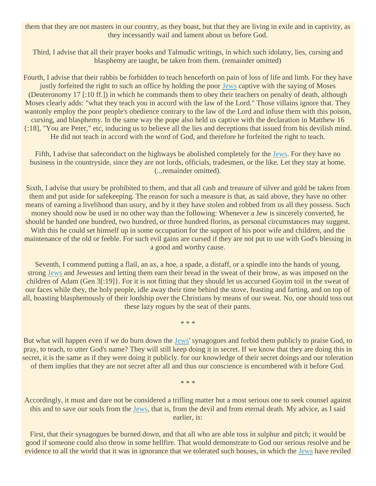them that they are not masters in our country, as they boast, but that they are living in exile and in captivity, as they incessantly wail and lament about us before God.

Third, I advise that all their prayer books and Talmudic writings, in which such idolatry, lies, cursing and blasphemy are taught, be taken from them. (remainder omitted)

Fourth, I advise that their rabbis be forbidden to teach henceforth on pain of loss of life and limb. For they have justly forfeited the right to such an office by holding the poor [Jews](https://www.jewishvirtuallibrary.org/jsource/jews.html) captive with the saying of Moses (Deuteronomy 17 [:10 ff.]) in which he commands them to obey their teachers on penalty of death, although Moses clearly adds: "what they teach you in accord with the law of the Lord." Those villains ignore that. They wantonly employ the poor people's obedience contrary to the law of the Lord and infuse them with this poison, cursing, and blasphemy. In the same way the pope also held us captive with the declaration in Matthew 16 {:18], "You are Peter," etc, inducing us to believe all the lies and deceptions that issued from his devilish mind. He did not teach in accord with the word of God, and therefore he forfeited the right to teach.

Fifth, I advise that safeconduct on the highways be abolished completely for the [Jews.](https://www.jewishvirtuallibrary.org/jsource/jews.html) For they have no business in the countryside, since they are not lords, officials, tradesmen, or the like. Let they stay at home. (...remainder omitted).

Sixth, I advise that usury be prohibited to them, and that all cash and treasure of silver and gold be taken from them and put aside for safekeeping. The reason for such a measure is that, as said above, they have no other means of earning a livelihood than usury, and by it they have stolen and robbed from us all they possess. Such money should now be used in no other way than the following: Whenever a Jew is sincerely converted, he should be handed one hundred, two hundred, or three hundred florins, as personal circumstances may suggest. With this he could set himself up in some occupation for the support of his poor wife and children, and the maintenance of the old or feeble. For such evil gains are cursed if they are not put to use with God's blessing in a good and worthy cause.

Seventh, I commend putting a flail, an ax, a hoe, a spade, a distaff, or a spindle into the hands of young, strong [Jews](https://www.jewishvirtuallibrary.org/jsource/jews.html) and Jewesses and letting them earn their bread in the sweat of their brow, as was imposed on the children of Adam (Gen 3[:19]}. For it is not fitting that they should let us accursed Goyim toil in the sweat of our faces while they, the holy people, idle away their time behind the stove, feasting and farting, and on top of all, boasting blasphemously of their lordship over the Christians by means of our sweat. No, one should toss out these lazy rogues by the seat of their pants.

\* \* \*

But what will happen even if we do burn down the [Jews'](https://www.jewishvirtuallibrary.org/jsource/jews.html) synagogues and forbid them publicly to praise God, to pray, to teach, to utter God's name? They will still keep doing it in secret. If we know that they are doing this in secret, it is the same as if they were doing it publicly. for our knowledge of their secret doings and our toleration of them implies that they are not secret after all and thus our conscience is encumbered with it before God.

\* \* \*

Accordingly, it must and dare not be considered a trifling matter but a most serious one to seek counsel against this and to save our souls from the [Jews,](https://www.jewishvirtuallibrary.org/jsource/jews.html) that is, from the devil and from eternal death. My advice, as I said earlier, is:

First, that their synagogues be burned down, and that all who are able toss in sulphur and pitch; it would be good if someone could also throw in some hellfire. That would demonstrate to God our serious resolve and be evidence to all the world that it was in ignorance that we tolerated such houses, in which the [Jews](https://www.jewishvirtuallibrary.org/jsource/jews.html) have reviled